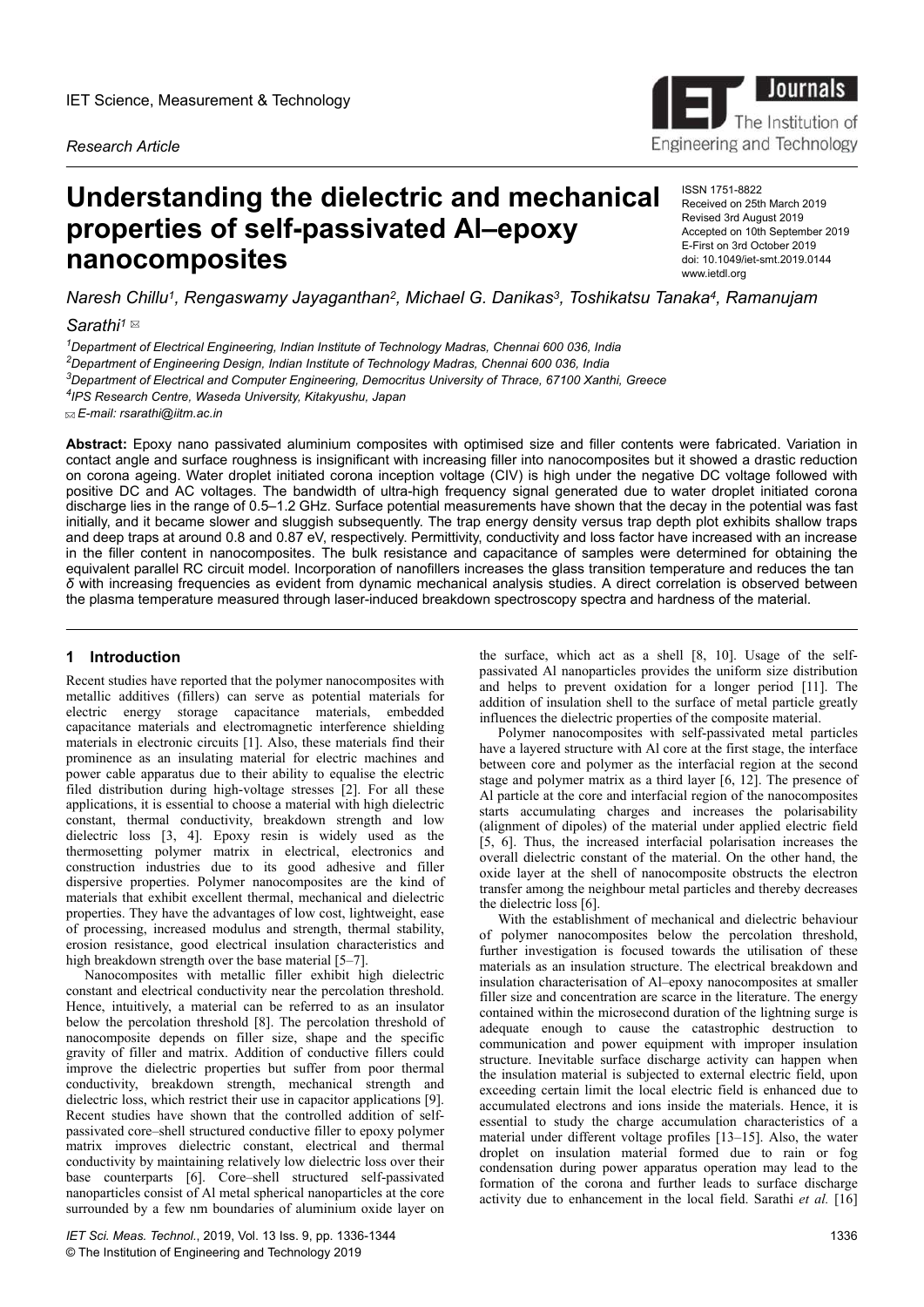*Research Article*

# **Understanding the dielectric and mechanical properties of self-passivated Al–epoxy nanocomposites**

ISSN 1751-8822 Received on 25th March 2019 Revised 3rd August 2019 Accepted on 10th September 2019 E-First on 3rd October 2019 doi: 10.1049/iet-smt.2019.0144 www.ietdl.org

*σaresh Chillu<sup>1</sup> , Rengaswamy Jayaganthan<sup>2</sup> , Michael G. Danikas<sup>3</sup> , Toshikatsu Tanaka<sup>4</sup> , Ramanujam*

# *Sarathi<sup>1</sup>*

*Department of Electrical Engineering, Indian Institute of Technology Madras, Chennai 600 036, India Department of Engineering Design, Indian Institute of Technology Madras, Chennai 600 036, India Department of Electrical and Computer Engineering, Democritus University of Thrace, 67100 Xanthi, Greece IPS Research Centre, Waseda University, Kitakyushu, Japan*

 *E-mail: rsarathi@iitm.ac.in*

**Abstract:** Epoxy nano passivated aluminium composites with optimised size and filler contents were fabricated. Variation in contact angle and surface roughness is insignificant with increasing filler into nanocomposites but it showed a drastic reduction on corona ageing. Water droplet initiated corona inception voltage (CIV) is high under the negative DC voltage followed with positive DC and AC voltages. The bandwidth of ultra-high frequency signal generated due to water droplet initiated corona discharge lies in the range of 0.5–1.2 GHz. Surface potential measurements have shown that the decay in the potential was fast initially, and it became slower and sluggish subsequently. The trap energy density versus trap depth plot exhibits shallow traps and deep traps at around 0.8 and 0.87 eV, respectively. Permittivity, conductivity and loss factor have increased with an increase in the filler content in nanocomposites. The bulk resistance and capacitance of samples were determined for obtaining the equivalent parallel RC circuit model. Incorporation of nanofillers increases the glass transition temperature and reduces the tan  *δ* with increasing frequencies as evident from dynamic mechanical analysis studies. A direct correlation is observed between the plasma temperature measured through laser-induced breakdown spectroscopy spectra and hardness of the material.

## **1** Introduction

Recent studies have reported that the polymer nanocomposites with metallic additives (fillers) can serve as potential materials for electric energy storage capacitance materials, embedded capacitance materials and electromagnetic interference shielding materials in electronic circuits [1]. Also, these materials find their prominence as an insulating material for electric machines and power cable apparatus due to their ability to equalise the electric filed distribution during high-voltage stresses [2]. For all these applications, it is essential to choose a material with high dielectric constant, thermal conductivity, breakdown strength and low dielectric loss [3, 4]. Epoxy resin is widely used as the thermosetting polymer matrix in electrical, electronics and construction industries due to its good adhesive and filler dispersive properties. Polymer nanocomposites are the kind of materials that exhibit excellent thermal, mechanical and dielectric properties. They have the advantages of low cost, lightweight, ease of processing, increased modulus and strength, thermal stability, erosion resistance, good electrical insulation characteristics and high breakdown strength over the base material [5–7].

Nanocomposites with metallic filler exhibit high dielectric constant and electrical conductivity near the percolation threshold. Hence, intuitively, a material can be referred to as an insulator below the percolation threshold [8]. The percolation threshold of nanocomposite depends on filler size, shape and the specific gravity of filler and matrix. Addition of conductive fillers could improve the dielectric properties but suffer from poor thermal conductivity, breakdown strength, mechanical strength and dielectric loss, which restrict their use in capacitor applications [9]. Recent studies have shown that the controlled addition of selfpassivated core–shell structured conductive filler to epoxy polymer matrix improves dielectric constant, electrical and thermal conductivity by maintaining relatively low dielectric loss over their base counterparts [6]. Core–shell structured self-passivated nanoparticles consist of Al metal spherical nanoparticles at the core surrounded by a few nm boundaries of aluminium oxide layer on the surface, which act as a shell [8, 10]. Usage of the selfpassivated Al nanoparticles provides the uniform size distribution and helps to prevent oxidation for a longer period [11]. The addition of insulation shell to the surface of metal particle greatly influences the dielectric properties of the composite material.

Polymer nanocomposites with self-passivated metal particles have a layered structure with Al core at the first stage, the interface between core and polymer as the interfacial region at the second stage and polymer matrix as a third layer [6, 12]. The presence of Al particle at the core and interfacial region of the nanocomposites starts accumulating charges and increases the polarisability (alignment of dipoles) of the material under applied electric field [5, 6]. Thus, the increased interfacial polarisation increases the overall dielectric constant of the material. On the other hand, the oxide layer at the shell of nanocomposite obstructs the electron transfer among the neighbour metal particles and thereby decreases the dielectric loss [6].

With the establishment of mechanical and dielectric behaviour of polymer nanocomposites below the percolation threshold, further investigation is focused towards the utilisation of these materials as an insulation structure. The electrical breakdown and insulation characterisation of Al–epoxy nanocomposites at smaller filler size and concentration are scarce in the literature. The energy contained within the microsecond duration of the lightning surge is adequate enough to cause the catastrophic destruction to communication and power equipment with improper insulation structure. Inevitable surface discharge activity can happen when the insulation material is subjected to external electric field, upon exceeding certain limit the local electric field is enhanced due to accumulated electrons and ions inside the materials. Hence, it is essential to study the charge accumulation characteristics of a material under different voltage profiles [13–15]. Also, the water droplet on insulation material formed due to rain or fog condensation during power apparatus operation may lead to the formation of the corona and further leads to surface discharge activity due to enhancement in the local field. Sarathi *et al.* [16]

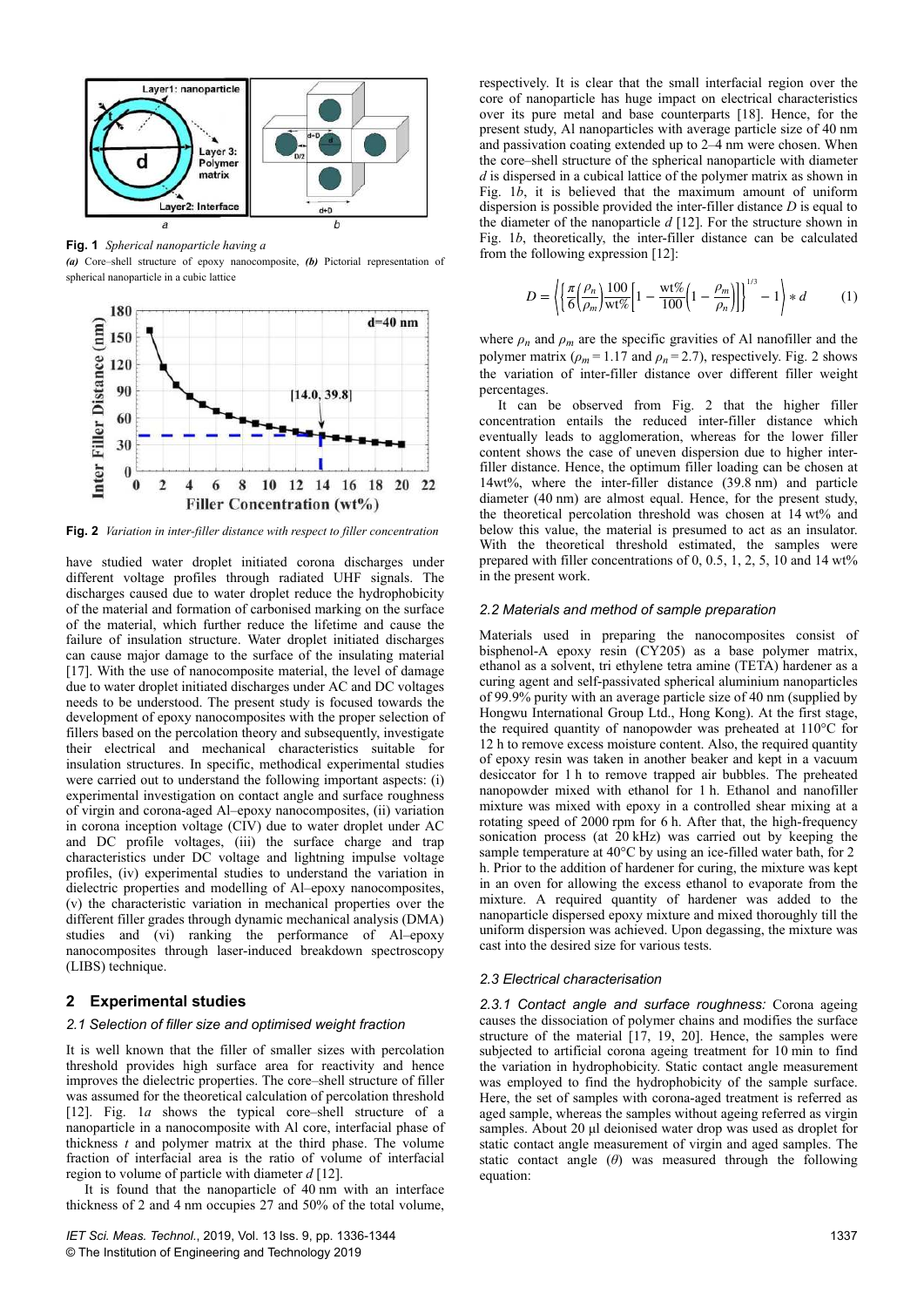

**Fig. 1** *Spherical nanoparticle having a*

*(a)* Core–shell structure of epoxy nanocomposite, *(b)* Pictorial representation of spherical nanoparticle in a cubic lattice



**Fig. 2** *Variation in inter-filler distance with respect to filler concentration*

have studied water droplet initiated corona discharges under different voltage profiles through radiated UHF signals. The discharges caused due to water droplet reduce the hydrophobicity of the material and formation of carbonised marking on the surface of the material, which further reduce the lifetime and cause the failure of insulation structure. Water droplet initiated discharges can cause major damage to the surface of the insulating material [17]. With the use of nanocomposite material, the level of damage due to water droplet initiated discharges under AC and DC voltages needs to be understood. The present study is focused towards the development of epoxy nanocomposites with the proper selection of fillers based on the percolation theory and subsequently, investigate their electrical and mechanical characteristics suitable for insulation structures. In specific, methodical experimental studies were carried out to understand the following important aspects: (i) experimental investigation on contact angle and surface roughness of virgin and corona-aged Al–epoxy nanocomposites, (ii) variation in corona inception voltage (CIV) due to water droplet under AC and DC profile voltages, (iii) the surface charge and trap characteristics under DC voltage and lightning impulse voltage profiles, (iv) experimental studies to understand the variation in dielectric properties and modelling of Al–epoxy nanocomposites, (v) the characteristic variation in mechanical properties over the different filler grades through dynamic mechanical analysis (DMA) studies and (vi) ranking the performance of Al–epoxy nanocomposites through laser-induced breakdown spectroscopy (LIBS) technique.

## **2Experimental studies**

#### *2.1 Selection of filler size and optimised weight fraction*

It is well known that the filler of smaller sizes with percolation threshold provides high surface area for reactivity and hence improves the dielectric properties. The core–shell structure of filler was assumed for the theoretical calculation of percolation threshold [12]. Fig. 1*a* shows the typical core–shell structure of a nanoparticle in a nanocomposite with Al core, interfacial phase of thickness  $t$  and polymer matrix at the third phase. The volume fraction of interfacial area is the ratio of volume of interfacial region to volume of particle with diameter *d* [12].

It is found that the nanoparticle of 40 nm with an interface thickness of 2 and 4 nm occupies 27 and 50% of the total volume, respectively. It is clear that the small interfacial region over the core of nanoparticle has huge impact on electrical characteristics over its pure metal and base counterparts [18]. Hence, for the present study, Al nanoparticles with average particle size of 40 nm and passivation coating extended up to 2–4 nm were chosen. When the core–shell structure of the spherical nanoparticle with diameter *d* is dispersed in a cubical lattice of the polymer matrix as shown in Fig. 1*b*, it is believed that the maximum amount of uniform dispersion is possible provided the inter-filler distance *D* is equal to the diameter of the nanoparticle *d* [12]. For the structure shown in Fig. 1*b*, theoretically, the inter-filler distance can be calculated from the following expression [12]:

$$
D = \left\langle \left[ \frac{\pi}{6} \left( \frac{\rho_n}{\rho_m} \right) \frac{100}{\text{wt\%}} \left[ 1 - \frac{\text{wt\%}}{100} \left( 1 - \frac{\rho_m}{\rho_n} \right) \right] \right]^{1/3} - 1 \right\rangle * d \tag{1}
$$

where  $\rho_n$  and  $\rho_m$  are the specific gravities of Al nanofiller and the polymer matrix  $(\rho_m = 1.17 \text{ and } \rho_n = 2.7)$ , respectively. Fig. 2 shows the variation of inter-filler distance over different filler weight percentages.

It can be observed from Fig. 2 that the higher filler concentration entails the reduced inter-filler distance which eventually leads to agglomeration, whereas for the lower filler content shows the case of uneven dispersion due to higher interfiller distance. Hence, the optimum filler loading can be chosen at 14wt%, where the inter-filler distance (39.8 nm) and particle diameter (40 nm) are almost equal. Hence, for the present study, the theoretical percolation threshold was chosen at 14 wt% and below this value, the material is presumed to act as an insulator. With the theoretical threshold estimated, the samples were prepared with filler concentrations of 0, 0.5, 1, 2, 5, 10 and 14 wt% in the present work.

#### *2.2 Materials and method of sample preparation*

Materials used in preparing the nanocomposites consist of bisphenol-A epoxy resin (CY205) as a base polymer matrix, ethanol as a solvent, tri ethylene tetra amine (TETA) hardener as a curing agent and self-passivated spherical aluminium nanoparticles of 99.9% purity with an average particle size of 40 nm (supplied by Hongwu International Group Ltd., Hong Kong). At the first stage, the required quantity of nanopowder was preheated at 110°C for 12 h to remove excess moisture content. Also, the required quantity of epoxy resin was taken in another beaker and kept in a vacuum desiccator for 1 h to remove trapped air bubbles. The preheated nanopowder mixed with ethanol for 1 h. Ethanol and nanofiller mixture was mixed with epoxy in a controlled shear mixing at a rotating speed of 2000 rpm for 6 h. After that, the high-frequency sonication process (at 20 kHz) was carried out by keeping the sample temperature at 40°C by using an ice-filled water bath, for 2  h. Prior to the addition of hardener for curing, the mixture was kept in an oven for allowing the excess ethanol to evaporate from the mixture. A required quantity of hardener was added to the nanoparticle dispersed epoxy mixture and mixed thoroughly till the uniform dispersion was achieved. Upon degassing, the mixture was cast into the desired size for various tests.

#### *2.3 Electrical characterisation*

*2.3.1 Contact angle and surface roughness:* Corona ageing causes the dissociation of polymer chains and modifies the surface structure of the material [17, 19, 20]. Hence, the samples were subjected to artificial corona ageing treatment for 10 min to find the variation in hydrophobicity. Static contact angle measurement was employed to find the hydrophobicity of the sample surface. Here, the set of samples with corona-aged treatment is referred as aged sample, whereas the samples without ageing referred as virgin samples. About 20 µl deionised water drop was used as droplet for static contact angle measurement of virgin and aged samples. The static contact angle  $(\theta)$  was measured through the following equation: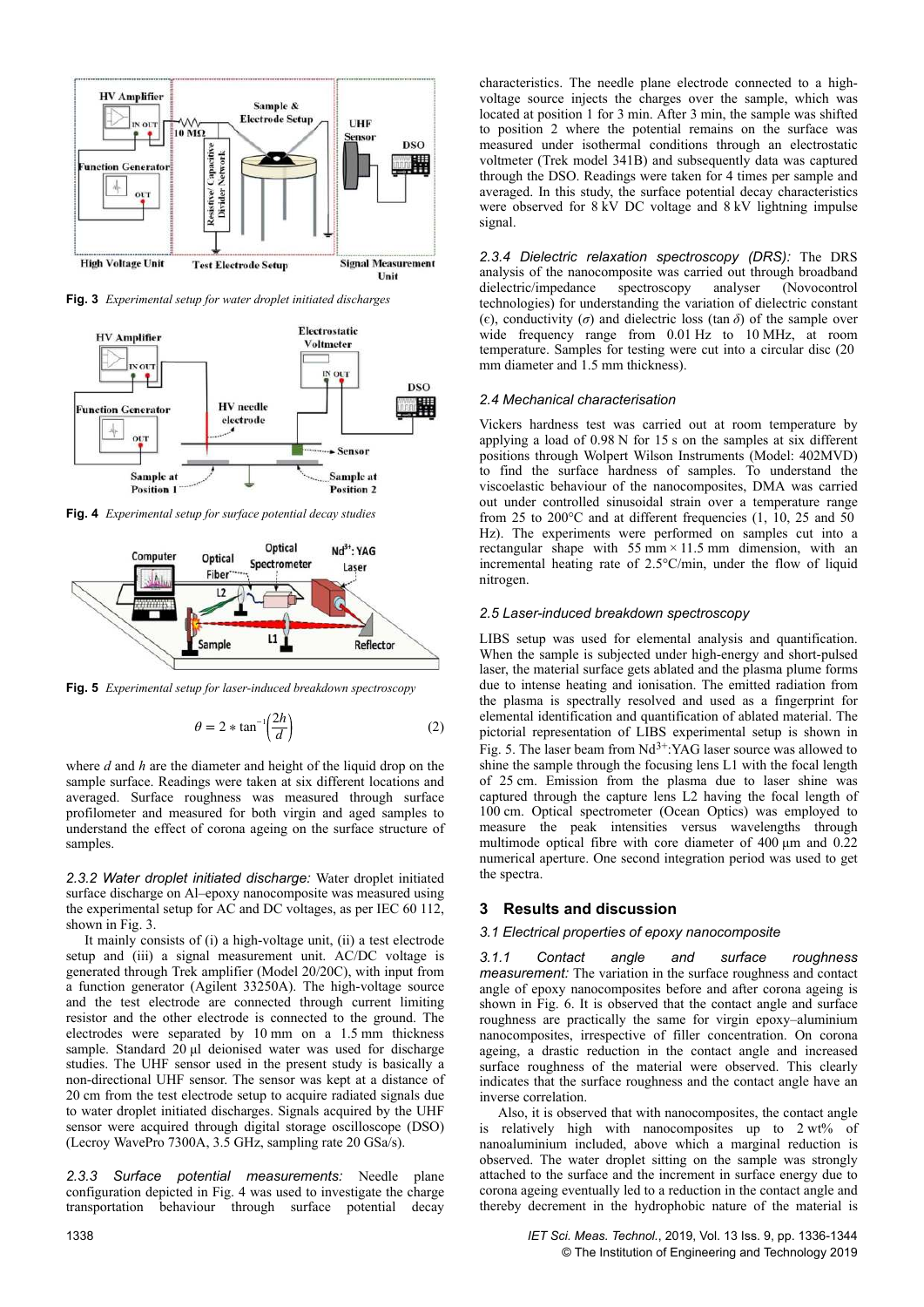

**Fig. 3** *Experimental setup for water droplet initiated discharges*



**Fig. 4** *Experimental setup for surface potential decay studies*



**Fig. 5** *Experimental setup for laser-induced breakdown spectroscopy*

$$
\theta = 2 * \tan^{-1} \left( \frac{2h}{d} \right) \tag{2}
$$

where *d* and *h* are the diameter and height of the liquid drop on the sample surface. Readings were taken at six different locations and averaged. Surface roughness was measured through surface profilometer and measured for both virgin and aged samples to understand the effect of corona ageing on the surface structure of samples.

*2.3.2 Water droplet initiated discharge:* Water droplet initiated surface discharge on Al–epoxy nanocomposite was measured using the experimental setup for AC and DC voltages, as per IEC 60 112, shown in Fig. 3.

It mainly consists of (i) a high-voltage unit, (ii) a test electrode setup and (iii) a signal measurement unit. AC/DC voltage is generated through Trek amplifier (Model 20/20C), with input from a function generator (Agilent 33250A). The high-voltage source and the test electrode are connected through current limiting resistor and the other electrode is connected to the ground. The electrodes were separated by 10 mm on a 1.5 mm thickness sample. Standard 20 μl deionised water was used for discharge studies. The UHF sensor used in the present study is basically a non-directional UHF sensor. The sensor was kept at a distance of 20 cm from the test electrode setup to acquire radiated signals due to water droplet initiated discharges. Signals acquired by the UHF sensor were acquired through digital storage oscilloscope (DSO) (Lecroy WavePro 7300A, 3.5 GHz, sampling rate 20 GSa/s).

*2.3.3 Surface potential measurements:* Needle plane configuration depicted in Fig. 4 was used to investigate the charge transportation behaviour through surface potential decay

*2.3.4 Dielectric relaxation spectroscopy (DRS):* The DRS analysis of the nanocomposite was carried out through broadband dielectric/impedance spectroscopy analyser (Novocontrol technologies) for understanding the variation of dielectric constant ( $\epsilon$ ), conductivity ( $\sigma$ ) and dielectric loss (tan  $\delta$ ) of the sample over wide frequency range from 0.01 Hz to 10 MHz, at room temperature. Samples for testing were cut into a circular disc (20  mm diameter and 1.5 mm thickness).

#### *2.4 Mechanical characterisation*

Vickers hardness test was carried out at room temperature by applying a load of 0.98 N for 15 s on the samples at six different positions through Wolpert Wilson Instruments (Model: 402MVD) to find the surface hardness of samples. To understand the viscoelastic behaviour of the nanocomposites, DMA was carried out under controlled sinusoidal strain over a temperature range from 25 to 200 $^{\circ}$ C and at different frequencies (1, 10, 25 and 50 Hz). The experiments were performed on samples cut into a rectangular shape with  $55 \text{ mm} \times 11.5 \text{ mm}$  dimension, with an incremental heating rate of 2.5°C/min, under the flow of liquid nitrogen.

#### *2.5 Laser-induced breakdown spectroscopy*

LIBS setup was used for elemental analysis and quantification. When the sample is subjected under high-energy and short-pulsed laser, the material surface gets ablated and the plasma plume forms due to intense heating and ionisation. The emitted radiation from the plasma is spectrally resolved and used as a fingerprint for elemental identification and quantification of ablated material. The pictorial representation of LIBS experimental setup is shown in Fig. 5. The laser beam from  $Nd^{3+}$ :YAG laser source was allowed to shine the sample through the focusing lens L1 with the focal length of 25 cm. Emission from the plasma due to laser shine was captured through the capture lens L2 having the focal length of 100 cm. Optical spectrometer (Ocean Optics) was employed to measure the peak intensities versus wavelengths through multimode optical fibre with core diameter of 400 μm and 0.22 numerical aperture. One second integration period was used to get the spectra.

#### **3Results and discussion**

#### *3.1 Electrical properties of epoxy nanocomposite*

*3.1.1 Contact angle and surface roughness measurement:* The variation in the surface roughness and contact angle of epoxy nanocomposites before and after corona ageing is shown in Fig. 6. It is observed that the contact angle and surface roughness are practically the same for virgin epoxy–aluminium nanocomposites, irrespective of filler concentration. On corona ageing, a drastic reduction in the contact angle and increased surface roughness of the material were observed. This clearly indicates that the surface roughness and the contact angle have an inverse correlation.

Also, it is observed that with nanocomposites, the contact angle is relatively high with nanocomposites up to 2 wt% of nanoaluminium included, above which a marginal reduction is observed. The water droplet sitting on the sample was strongly attached to the surface and the increment in surface energy due to corona ageing eventually led to a reduction in the contact angle and thereby decrement in the hydrophobic nature of the material is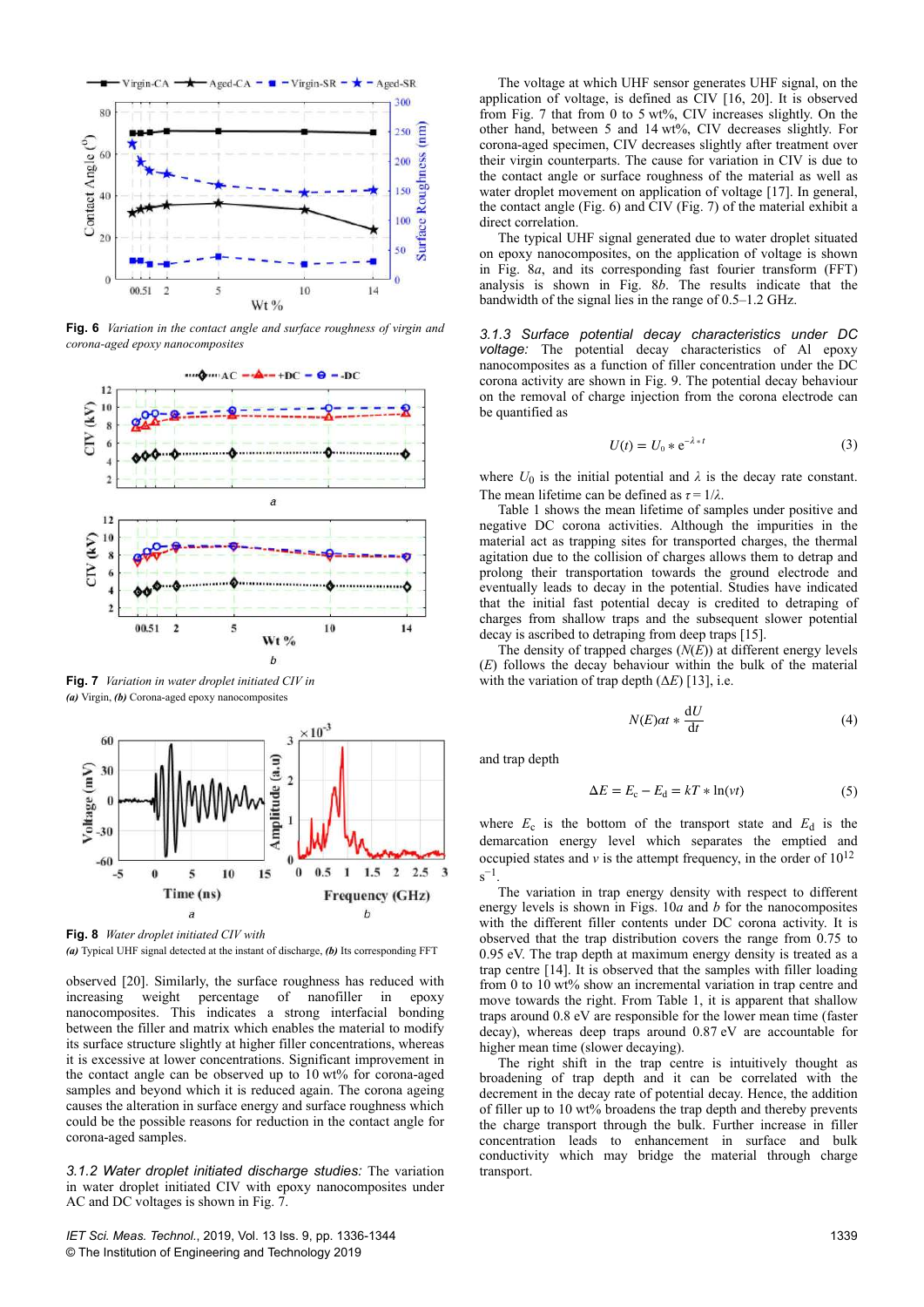

**Fig. 6** *Variation in the contact angle and surface roughness of virgin and corona-aged epoxy nanocomposites*



**Fig. 7** *Variation in water droplet initiated CIV in (a)* Virgin, *(b)* Corona-aged epoxy nanocomposites



**Fig. 8** *Water droplet initiated CIV with*

*(a)* Typical UHF signal detected at the instant of discharge, *(b)* Its corresponding FFT

observed [20]. Similarly, the surface roughness has reduced with increasing weight percentage of nanofiller in epoxy nanocomposites. This indicates a strong interfacial bonding between the filler and matrix which enables the material to modify its surface structure slightly at higher filler concentrations, whereas it is excessive at lower concentrations. Significant improvement in the contact angle can be observed up to 10 wt% for corona-aged samples and beyond which it is reduced again. The corona ageing causes the alteration in surface energy and surface roughness which could be the possible reasons for reduction in the contact angle for corona-aged samples.

*3.1.2 Water droplet initiated discharge studies:* The variation in water droplet initiated CIV with epoxy nanocomposites under AC and DC voltages is shown in Fig. 7.

*IET Sci. Meas. Technol.*, 2019, Vol. 13 Iss. 9, pp. 1336-1344 © The Institution of Engineering and Technology 2019

The voltage at which UHF sensor generates UHF signal, on the application of voltage, is defined as CIV [16, 20]. It is observed from Fig. 7 that from 0 to 5 wt%, CIV increases slightly. On the other hand, between 5 and 14 wt%, CIV decreases slightly. For corona-aged specimen, CIV decreases slightly after treatment over their virgin counterparts. The cause for variation in CIV is due to the contact angle or surface roughness of the material as well as water droplet movement on application of voltage [17]. In general, the contact angle (Fig. 6) and CIV (Fig. 7) of the material exhibit a direct correlation.

The typical UHF signal generated due to water droplet situated on epoxy nanocomposites, on the application of voltage is shown in Fig. 8*a*, and its corresponding fast fourier transform (FFT) analysis is shown in Fig. 8*b*. The results indicate that the bandwidth of the signal lies in the range of 0.5–1.2 GHz.

*3.1.3 Surface potential decay characteristics under DC voltage:* The potential decay characteristics of Al epoxy nanocomposites as a function of filler concentration under the DC corona activity are shown in Fig. 9. The potential decay behaviour on the removal of charge injection from the corona electrode can be quantified as

$$
U(t) = U_0 * e^{-\lambda * t} \tag{3}
$$

where  $U_0$  is the initial potential and  $\lambda$  is the decay rate constant. The mean lifetime can be defined as  $\tau = 1/\lambda$ .

Table 1 shows the mean lifetime of samples under positive and negative DC corona activities. Although the impurities in the material act as trapping sites for transported charges, the thermal agitation due to the collision of charges allows them to detrap and prolong their transportation towards the ground electrode and eventually leads to decay in the potential. Studies have indicated that the initial fast potential decay is credited to detraping of charges from shallow traps and the subsequent slower potential decay is ascribed to detraping from deep traps [15].

The density of trapped charges (*σ*(*E*)) at different energy levels (*E*) follows the decay behaviour within the bulk of the material with the variation of trap depth  $(\Delta E)$  [13], i.e.

$$
N(E)\alpha t * \frac{\mathrm{d}U}{\mathrm{d}t} \tag{4}
$$

and trap depth

$$
\Delta E = E_{\rm c} - E_{\rm d} = kT * \ln(vt) \tag{5}
$$

where  $E_c$  is the bottom of the transport state and  $E_d$  is the demarcation energy level which separates the emptied and occupied states and  $\nu$  is the attempt frequency, in the order of  $10^{12}$  $s^{-1}$ .

The variation in trap energy density with respect to different energy levels is shown in Figs. 10*a* and *b* for the nanocomposites with the different filler contents under DC corona activity. It is observed that the trap distribution covers the range from 0.75 to 0.95 eV. The trap depth at maximum energy density is treated as a trap centre [14]. It is observed that the samples with filler loading from 0 to 10 wt% show an incremental variation in trap centre and move towards the right. From Table 1, it is apparent that shallow traps around 0.8 eV are responsible for the lower mean time (faster decay), whereas deep traps around 0.87 eV are accountable for higher mean time (slower decaying).

The right shift in the trap centre is intuitively thought as broadening of trap depth and it can be correlated with the decrement in the decay rate of potential decay. Hence, the addition of filler up to 10 wt% broadens the trap depth and thereby prevents the charge transport through the bulk. Further increase in filler concentration leads to enhancement in surface and bulk conductivity which may bridge the material through charge transport.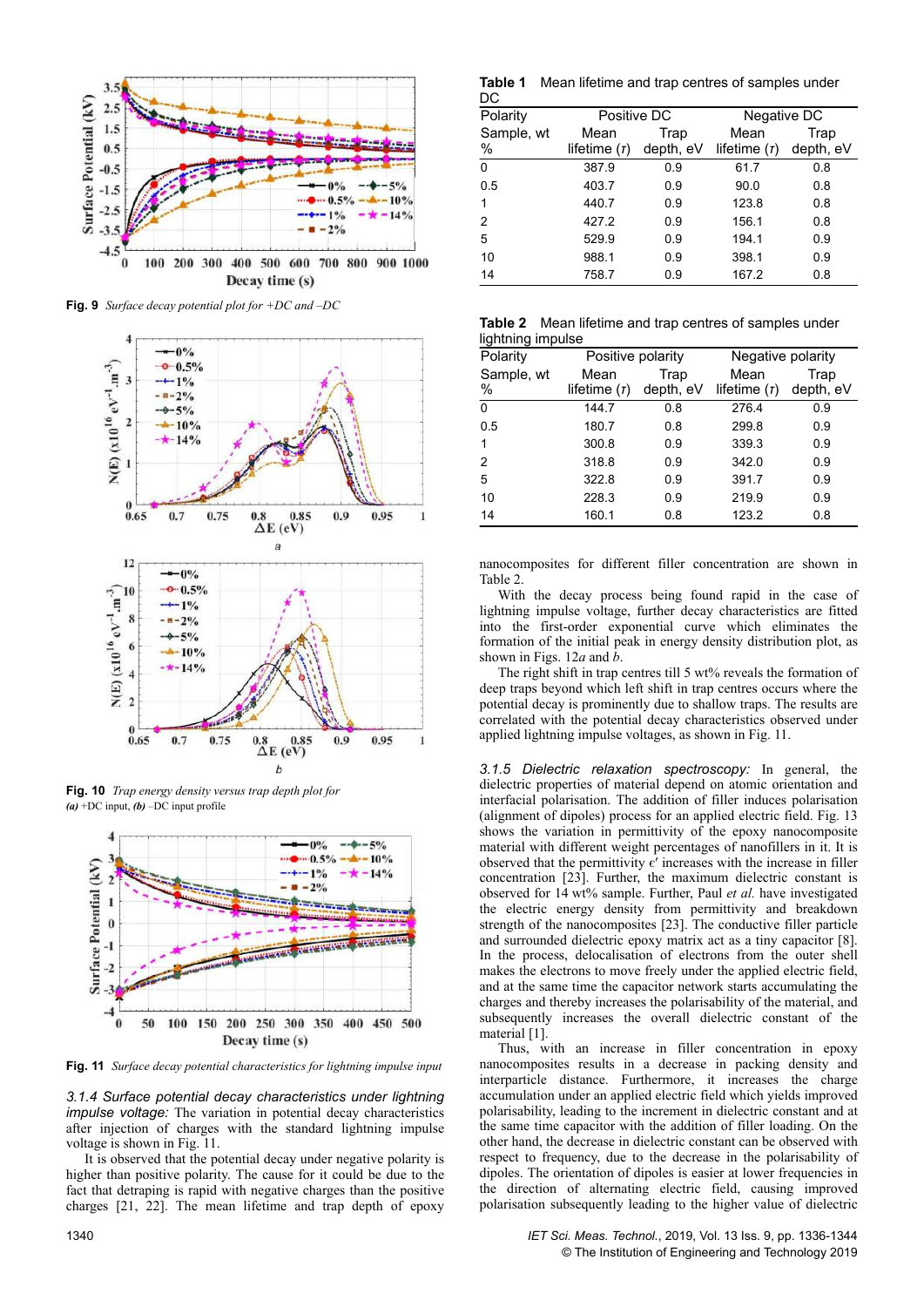

**Fig. 9** *Surface decay potential plot for +DC and –DC*



**Fig. 10** *Trap energy density versus trap depth plot for (a)* +DC input, *(b)* –DC input profile



**Fig. 11** *Surface decay potential characteristics for lightning impulse input*

*3.1.4 Surface potential decay characteristics under lightning impulse voltage:* The variation in potential decay characteristics after injection of charges with the standard lightning impulse voltage is shown in Fig. 11.

It is observed that the potential decay under negative polarity is higher than positive polarity. The cause for it could be due to the fact that detraping is rapid with negative charges than the positive charges [21, 22]. The mean lifetime and trap depth of epoxy

**Table 1** Mean lifetime and trap centres of samples under

| DC         |                |           |                |           |
|------------|----------------|-----------|----------------|-----------|
| Polarity   | Positive DC    |           | Negative DC    |           |
| Sample, wt | Mean           | Trap      | Mean           | Trap      |
| $\%$       | lifetime $(r)$ | depth, eV | lifetime $(r)$ | depth, eV |
| 0          | 387.9          | 0.9       | 61.7           | 0.8       |
| 0.5        | 403.7          | 0.9       | 90.0           | 0.8       |
| 1          | 440.7          | 0.9       | 123.8          | 0.8       |
| 2          | 427.2          | 0.9       | 156.1          | 0.8       |
| 5          | 529.9          | 0.9       | 194.1          | 0.9       |
| 10         | 988.1          | 0.9       | 398.1          | 0.9       |
| 14         | 758.7          | 0.9       | 167.2          | 0.8       |

|                   | <b>Table 2</b> Mean lifetime and trap centres of samples under |  |
|-------------------|----------------------------------------------------------------|--|
| lightning impulse |                                                                |  |

| Polarity        | ngmumng mupuloo<br>Positive polarity |                   | Negative polarity      |                   |
|-----------------|--------------------------------------|-------------------|------------------------|-------------------|
| Sample, wt<br>% | Mean<br>lifetime $(r)$               | Trap<br>depth, eV | Mean<br>lifetime $(r)$ | Trap<br>depth, eV |
| 0               | 144.7                                | 0.8               | 276.4                  | 0.9               |
| 0.5             | 180.7                                | 0.8               | 299.8                  | 0.9               |
| 1               | 300.8                                | 0.9               | 339.3                  | 0.9               |
| 2               | 318.8                                | 0.9               | 342.0                  | 0.9               |
| 5               | 322.8                                | 0.9               | 391.7                  | 0.9               |
| 10              | 228.3                                | 0.9               | 219.9                  | 0.9               |
| 14              | 160.1                                | 0.8               | 123.2                  | 0.8               |

nanocomposites for different filler concentration are shown in Table 2.

With the decay process being found rapid in the case of lightning impulse voltage, further decay characteristics are fitted into the first-order exponential curve which eliminates the formation of the initial peak in energy density distribution plot, as shown in Figs. 12*a* and *b*.

The right shift in trap centres till 5 wt% reveals the formation of deep traps beyond which left shift in trap centres occurs where the potential decay is prominently due to shallow traps. The results are correlated with the potential decay characteristics observed under applied lightning impulse voltages, as shown in Fig. 11.

*3.1.5 Dielectric relaxation spectroscopy:* In general, the dielectric properties of material depend on atomic orientation and interfacial polarisation. The addition of filler induces polarisation (alignment of dipoles) process for an applied electric field. Fig. 13 shows the variation in permittivity of the epoxy nanocomposite material with different weight percentages of nanofillers in it. It is observed that the permittivity  $\epsilon'$  increases with the increase in filler concentration [23]. Further, the maximum dielectric constant is observed for 14 wt% sample. Further, Paul *et al.* have investigated the electric energy density from permittivity and breakdown strength of the nanocomposites [23]. The conductive filler particle and surrounded dielectric epoxy matrix act as a tiny capacitor [8]. In the process, delocalisation of electrons from the outer shell makes the electrons to move freely under the applied electric field, and at the same time the capacitor network starts accumulating the charges and thereby increases the polarisability of the material, and subsequently increases the overall dielectric constant of the material [1].

Thus, with an increase in filler concentration in epoxy nanocomposites results in a decrease in packing density and interparticle distance. Furthermore, it increases the charge accumulation under an applied electric field which yields improved polarisability, leading to the increment in dielectric constant and at the same time capacitor with the addition of filler loading. On the other hand, the decrease in dielectric constant can be observed with respect to frequency, due to the decrease in the polarisability of dipoles. The orientation of dipoles is easier at lower frequencies in the direction of alternating electric field, causing improved polarisation subsequently leading to the higher value of dielectric

1340 *IET Sci. Meas. Technol.*, 2019, Vol. 13 Iss. 9, pp. 1336-1344 © The Institution of Engineering and Technology 2019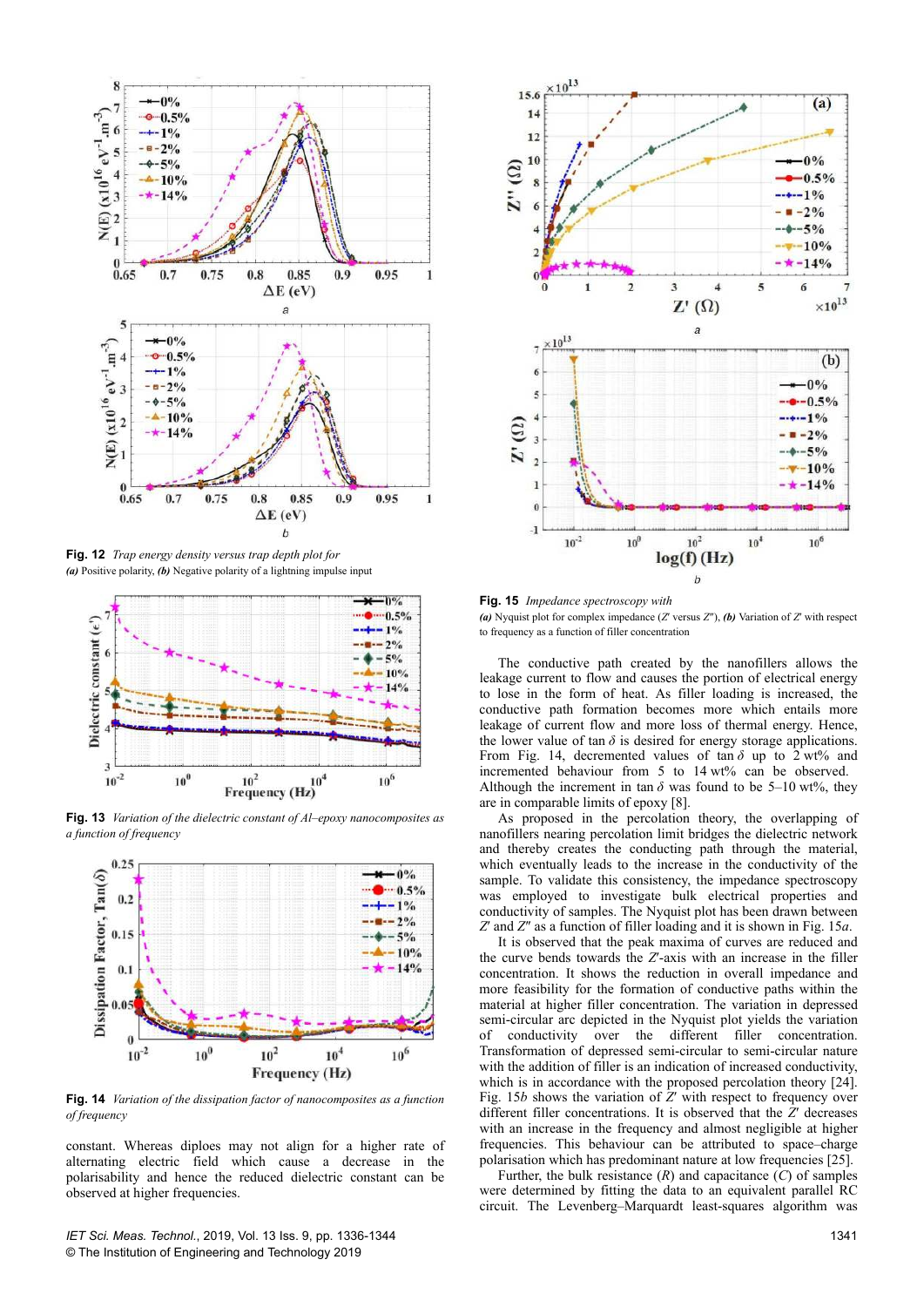

**Fig. 12** *Trap energy density versus trap depth plot for (a)* Positive polarity, *(b)* Negative polarity of a lightning impulse input



**Fig. 13** *Variation of the dielectric constant of Al–epoxy nanocomposites as a function of frequency*



**Fig. 14** *Variation of the dissipation factor of nanocomposites as a function of frequency*

constant. Whereas diploes may not align for a higher rate of alternating electric field which cause a decrease in the polarisability and hence the reduced dielectric constant can be observed at higher frequencies.

*IET Sci. Meas. Technol.*, 2019, Vol. 13 Iss. 9, pp. 1336-1344 © The Institution of Engineering and Technology 2019



**Fig. 15** *Impedance spectroscopy with (a)* Nyquist plot for complex impedance (*Z'* versus *Z''*), *(b)* Variation of *Z'* with respect to frequency as a function of filler concentration

The conductive path created by the nanofillers allows the leakage current to flow and causes the portion of electrical energy to lose in the form of heat. As filler loading is increased, the conductive path formation becomes more which entails more leakage of current flow and more loss of thermal energy. Hence, the lower value of tan  $\delta$  is desired for energy storage applications. From Fig. 14, decremented values of tan  $\delta$  up to 2 wt% and incremented behaviour from 5 to 14 wt% can be observed. Although the increment in tan  $\delta$  was found to be 5–10 wt%, they are in comparable limits of epoxy [8].

As proposed in the percolation theory, the overlapping of nanofillers nearing percolation limit bridges the dielectric network and thereby creates the conducting path through the material, which eventually leads to the increase in the conductivity of the sample. To validate this consistency, the impedance spectroscopy was employed to investigate bulk electrical properties and conductivity of samples. The Nyquist plot has been drawn between *Z*ƍ and *Z*Ǝ as a function of filler loading and it is shown in Fig. 15*a*.

It is observed that the peak maxima of curves are reduced and the curve bends towards the *Z*'-axis with an increase in the filler concentration. It shows the reduction in overall impedance and more feasibility for the formation of conductive paths within the material at higher filler concentration. The variation in depressed semi-circular arc depicted in the Nyquist plot yields the variation of conductivity over the different filler concentration. Transformation of depressed semi-circular to semi-circular nature with the addition of filler is an indication of increased conductivity, which is in accordance with the proposed percolation theory [24]. Fig. 15*b* shows the variation of  $\tilde{Z}$ <sup> $\prime$ </sup> with respect to frequency over different filler concentrations. It is observed that the *Z*<sup>*'*</sup> decreases with an increase in the frequency and almost negligible at higher frequencies. This behaviour can be attributed to space–charge polarisation which has predominant nature at low frequencies [25].

Further, the bulk resistance  $(R)$  and capacitance  $(C)$  of samples were determined by fitting the data to an equivalent parallel RC circuit. The Levenberg–Marquardt least-squares algorithm was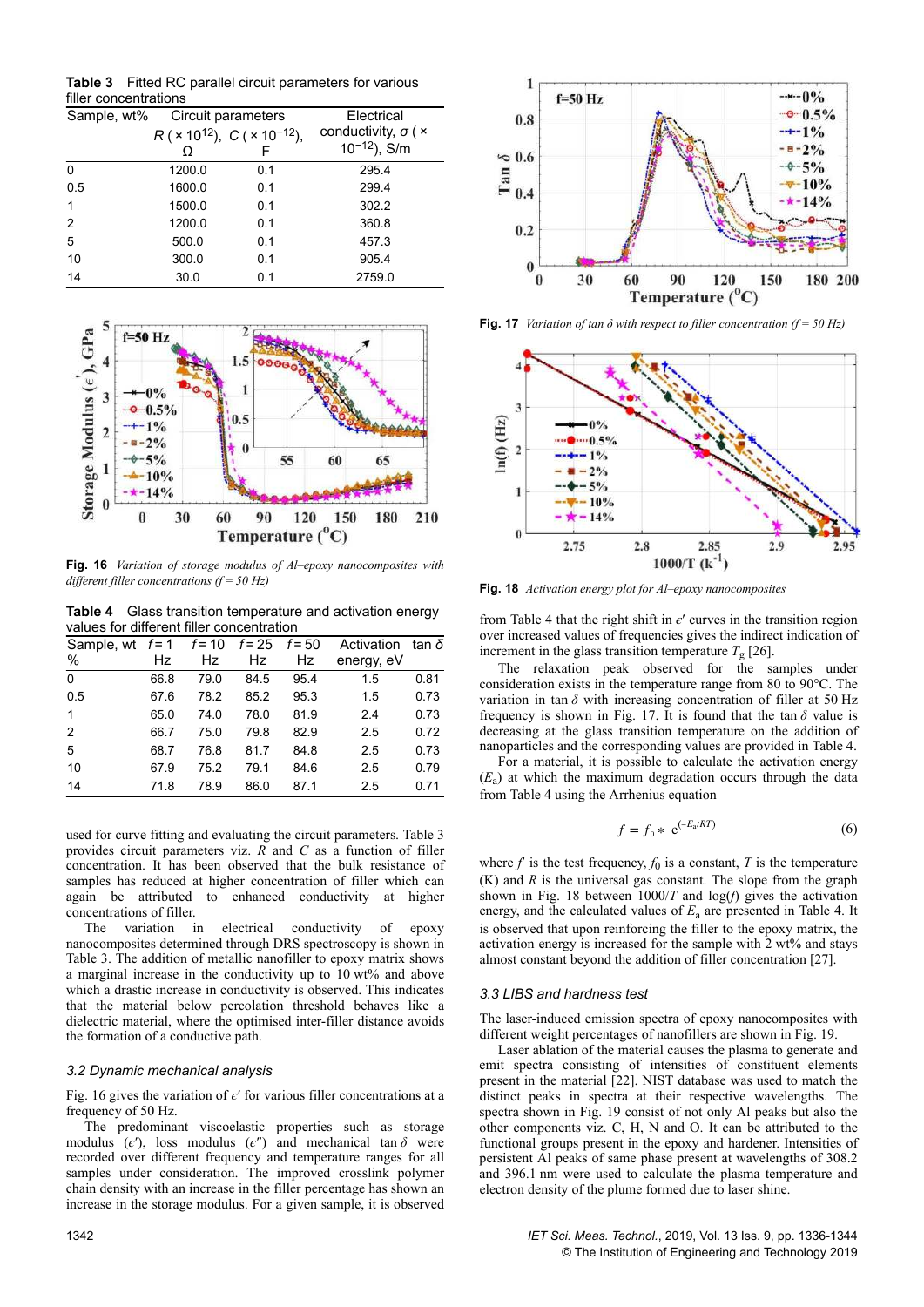**Table 3** Fitted RC parallel circuit parameters for various filler concentrations

| Sample, wt% |        | Circuit parameters                                       | Electrical                        |  |
|-------------|--------|----------------------------------------------------------|-----------------------------------|--|
|             |        | $R$ ( × 10 <sup>12</sup> ), $C$ ( × 10 <sup>-12</sup> ), | conductivity, $\sigma$ ( $\times$ |  |
|             |        | F                                                        | $10^{-12}$ ), S/m                 |  |
| 0           | 1200.0 | 0.1                                                      | 295.4                             |  |
| 0.5         | 1600.0 | 0.1                                                      | 299.4                             |  |
| 1           | 1500.0 | 0.1                                                      | 302.2                             |  |
| 2           | 1200.0 | 0.1                                                      | 360.8                             |  |
| 5           | 500.0  | 0.1                                                      | 457.3                             |  |
| 10          | 300.0  | 0.1                                                      | 905.4                             |  |
| 14          | 30.0   | 0.1                                                      | 2759.0                            |  |



**Fig. 16** *Variation of storage modulus of Al–epoxy nanocomposites with different filler concentrations (f = 50 Hz)*

**Table 4** Glass transition temperature and activation energy values for different filler concentration

| Sample, wt $f=1$ $f=10$ |      |      | $f = 25$ | $f = 50$ | Activation | tan δ |
|-------------------------|------|------|----------|----------|------------|-------|
| %                       | Hz   | Hz   | Hz       | Hz       | energy, eV |       |
| $\Omega$                | 66.8 | 79.0 | 84.5     | 95.4     | 1.5        | 0.81  |
| 0.5                     | 67.6 | 78.2 | 85.2     | 95.3     | 1.5        | 0.73  |
| $\mathbf{1}$            | 65.0 | 74.0 | 78.0     | 81.9     | 2.4        | 0.73  |
| 2                       | 66.7 | 75.0 | 79.8     | 82.9     | 2.5        | 0.72  |
| 5                       | 68.7 | 76.8 | 81.7     | 84.8     | 2.5        | 0.73  |
| 10                      | 67.9 | 75.2 | 79.1     | 84.6     | 2.5        | 0.79  |
| 14                      | 71.8 | 78.9 | 86.0     | 87.1     | 2.5        | 0.71  |

used for curve fitting and evaluating the circuit parameters. Table 3 provides circuit parameters viz. *R* and *C* as a function of filler concentration. It has been observed that the bulk resistance of samples has reduced at higher concentration of filler which can again be attributed to enhanced conductivity at higher concentrations of filler.

The variation in electrical conductivity of epoxy nanocomposites determined through DRS spectroscopy is shown in Table 3. The addition of metallic nanofiller to epoxy matrix shows a marginal increase in the conductivity up to 10 wt% and above which a drastic increase in conductivity is observed. This indicates that the material below percolation threshold behaves like a dielectric material, where the optimised inter-filler distance avoids the formation of a conductive path.

## *3.2 Dynamic mechanical analysis*

Fig. 16 gives the variation of  $\epsilon'$  for various filler concentrations at a frequency of 50 Hz.

The predominant viscoelastic properties such as storage modulus  $(\epsilon')$ , loss modulus  $(\epsilon'')$  and mechanical tan  $\delta$  were recorded over different frequency and temperature ranges for all samples under consideration. The improved crosslink polymer chain density with an increase in the filler percentage has shown an increase in the storage modulus. For a given sample, it is observed



**Fig. 17** *Variation of tan δ with respect to filler concentration (f = 50 Hz)*



**Fig. 18** *Activation energy plot for Al–epoxy nanocomposites*

from Table 4 that the right shift in  $\epsilon'$  curves in the transition region over increased values of frequencies gives the indirect indication of increment in the glass transition temperature  $T<sub>g</sub>$  [26].

The relaxation peak observed for the samples under consideration exists in the temperature range from 80 to 90°C. The variation in tan  $\delta$  with increasing concentration of filler at 50 Hz frequency is shown in Fig. 17. It is found that the tan  $\delta$  value is decreasing at the glass transition temperature on the addition of nanoparticles and the corresponding values are provided in Table 4.

For a material, it is possible to calculate the activation energy  $(E_a)$  at which the maximum degradation occurs through the data from Table 4 using the Arrhenius equation

$$
f = f_0 * e^{(-E_a/RT)}
$$
 (6)

where  $f$  is the test frequency,  $f_0$  is a constant,  $T$  is the temperature (K) and *R* is the universal gas constant. The slope from the graph shown in Fig. 18 between 1000/*T* and log(*f*) gives the activation energy, and the calculated values of  $E_a$  are presented in Table 4. It is observed that upon reinforcing the filler to the epoxy matrix, the activation energy is increased for the sample with 2 wt% and stays almost constant beyond the addition of filler concentration [27].

## *3.3 LIBS and hardness test*

The laser-induced emission spectra of epoxy nanocomposites with different weight percentages of nanofillers are shown in Fig. 19.

Laser ablation of the material causes the plasma to generate and emit spectra consisting of intensities of constituent elements present in the material [22]. NIST database was used to match the distinct peaks in spectra at their respective wavelengths. The spectra shown in Fig. 19 consist of not only Al peaks but also the other components viz. C, H, N and O. It can be attributed to the functional groups present in the epoxy and hardener. Intensities of persistent Al peaks of same phase present at wavelengths of 308.2 and 396.1 nm were used to calculate the plasma temperature and electron density of the plume formed due to laser shine.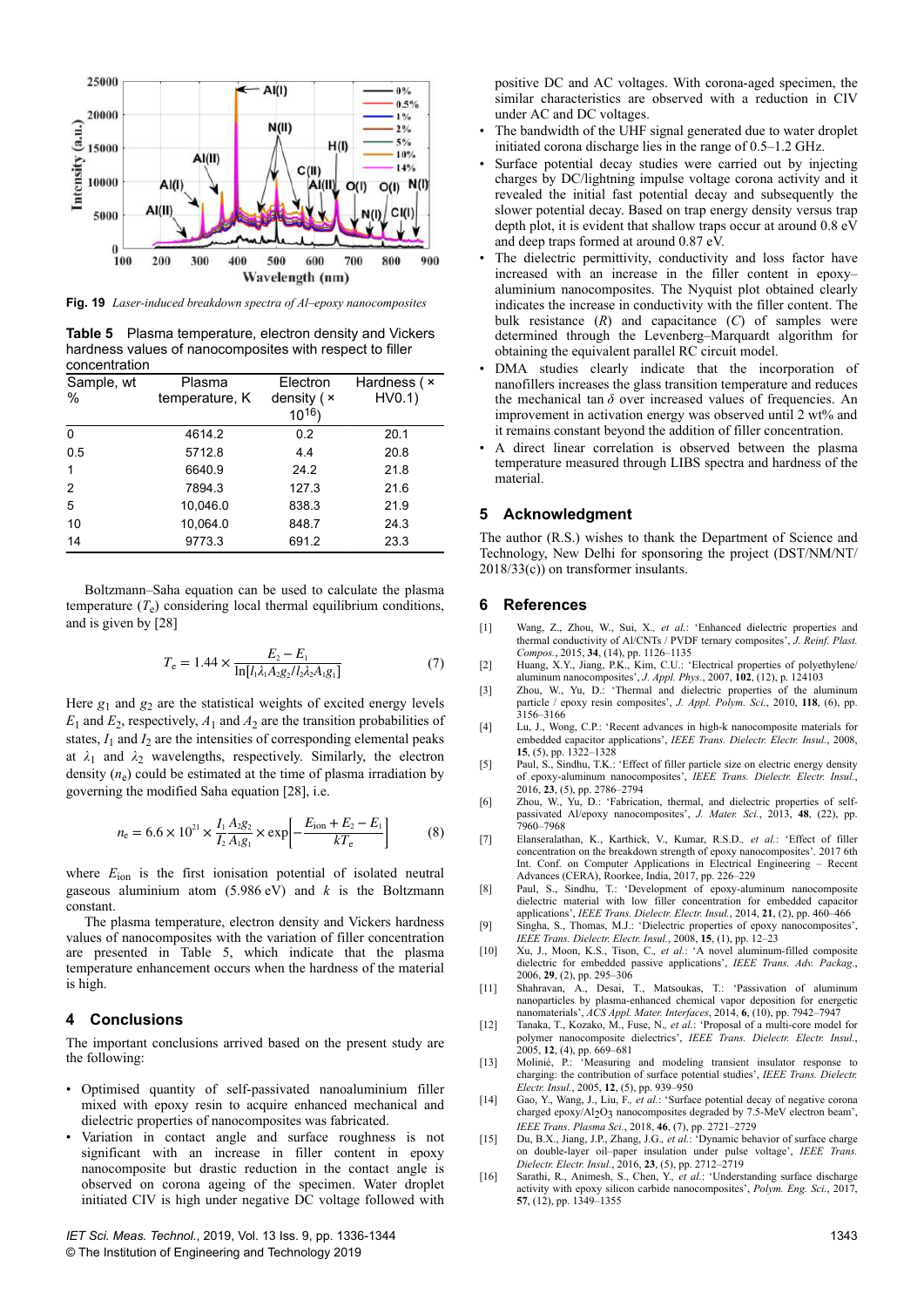

**Fig. 19** *Laser-induced breakdown spectra of Al–epoxy nanocomposites*

**Table 5** Plasma temperature, electron density and Vickers hardness values of nanocomposites with respect to filler concentration

| Sample, wt<br>$\frac{0}{0}$ | Plasma<br>temperature, K | Electron<br>density $(x)$ | Hardness ( ×<br>HV0.1) |
|-----------------------------|--------------------------|---------------------------|------------------------|
|                             |                          | $10^{16}$                 |                        |
| 0                           | 4614.2                   | 0.2                       | 20.1                   |
| 0.5                         | 5712.8                   | 4.4                       | 20.8                   |
|                             | 6640.9                   | 24.2                      | 21.8                   |
| 2                           | 7894.3                   | 127.3                     | 21.6                   |
| 5                           | 10.046.0                 | 838.3                     | 21.9                   |
| 10                          | 10,064.0                 | 848.7                     | 24.3                   |
| 14                          | 9773.3                   | 691.2                     | 23.3                   |

Boltzmann–Saha equation can be used to calculate the plasma temperature (*T*<sup>e</sup> ) considering local thermal equilibrium conditions, and is given by [28]

$$
T_{\rm e} = 1.44 \times \frac{E_2 - E_1}{\ln[l_1 \lambda_1 A_2 g_2 / l_2 \lambda_2 A_1 g_1]}
$$
(7)

Here  $g_1$  and  $g_2$  are the statistical weights of excited energy levels  $E_1$  and  $E_2$ , respectively,  $A_1$  and  $A_2$  are the transition probabilities of states,  $I_1$  and  $I_2$  are the intensities of corresponding elemental peaks at  $\lambda_1$  and  $\lambda_2$  wavelengths, respectively. Similarly, the electron density (*n*<sup>e</sup> ) could be estimated at the time of plasma irradiation by governing the modified Saha equation [28], i.e.

$$
n_{\rm e} = 6.6 \times 10^{21} \times \frac{I_1 A_2 g_2}{I_2 A_1 g_1} \times \exp\left[-\frac{E_{\rm ion} + E_2 - E_1}{kT_{\rm e}}\right] \tag{8}
$$

where  $E_{\text{ion}}$  is the first ionisation potential of isolated neutral gaseous aluminium atom  $(5.986 \text{ eV})$  and *k* is the Boltzmann constant.

The plasma temperature, electron density and Vickers hardness values of nanocomposites with the variation of filler concentration are presented in Table 5, which indicate that the plasma temperature enhancement occurs when the hardness of the material is high.

## **4Conclusions**

The important conclusions arrived based on the present study are the following:

- Optimised quantity of self-passivated nanoaluminium filler mixed with epoxy resin to acquire enhanced mechanical and dielectric properties of nanocomposites was fabricated.
- Variation in contact angle and surface roughness is not significant with an increase in filler content in epoxy nanocomposite but drastic reduction in the contact angle is observed on corona ageing of the specimen. Water droplet initiated CIV is high under negative DC voltage followed with

*IET Sci. Meas. Technol.*, 2019, Vol. 13 Iss. 9, pp. 1336-1344 © The Institution of Engineering and Technology 2019

positive DC and AC voltages. With corona-aged specimen, the similar characteristics are observed with a reduction in CIV under AC and DC voltages.

- The bandwidth of the UHF signal generated due to water droplet initiated corona discharge lies in the range of 0.5–1.2 GHz.
- Surface potential decay studies were carried out by injecting charges by DC/lightning impulse voltage corona activity and it revealed the initial fast potential decay and subsequently the slower potential decay. Based on trap energy density versus trap depth plot, it is evident that shallow traps occur at around 0.8 eV and deep traps formed at around 0.87 eV.
- The dielectric permittivity, conductivity and loss factor have increased with an increase in the filler content in epoxy– aluminium nanocomposites. The Nyquist plot obtained clearly indicates the increase in conductivity with the filler content. The bulk resistance (*R*) and capacitance (*C*) of samples were determined through the Levenberg–Marquardt algorithm for obtaining the equivalent parallel RC circuit model.
- DMA studies clearly indicate that the incorporation of nanofillers increases the glass transition temperature and reduces the mechanical tan  $\delta$  over increased values of frequencies. An improvement in activation energy was observed until 2 wt% and it remains constant beyond the addition of filler concentration.
- A direct linear correlation is observed between the plasma temperature measured through LIBS spectra and hardness of the material.

### **5** Acknowledament

The author (R.S.) wishes to thank the Department of Science and Technology, New Delhi for sponsoring the project (DST/NM/NT/ 2018/33(c)) on transformer insulants.

#### **6References**

- [1] Wang, Z., Zhou, W., Sui, X.*, et al.*: 'Enhanced dielectric properties and thermal conductivity of Al/CNTs / PVDF ternary composites', *J. Reinf. Plast. Compos.*, 2015, **34**, (14), pp. 1126–1135
- [2] Huang, X.Y., Jiang, P.K., Kim, C.U.: 'Electrical properties of polyethylene/ aluminum nanocomposites', *J. Appl. Phys.*, 2007, **102**, (12), p. 124103
- [3] Zhou, W., Yu, D.: 'Thermal and dielectric properties of the aluminum particle / epoxy resin composites', *J. Appl. Polym. Sci.*, 2010, **118**, (6), pp. .<br>3156–3166
- [4] Lu, J., Wong, C.P.: 'Recent advances in high-k nanocomposite materials for embedded capacitor applications', *IEEE Trans. Dielectr. Electr. Insul.*, 2008, **15**, (5), pp. 1322–1328
- [5] Paul, S., Sindhu, T.K.: 'Effect of filler particle size on electric energy density of epoxy-aluminum nanocomposites', *IEEE Trans. Dielectr. Electr. Insul.*, 2016, **23**, (5), pp. 2786–2794<br>
Zhou, W., Yu, D.: 'Fabrication, thermal, and dielectric properties of self-
- [6] Zhou, W., Yu, D.: 'Fabrication, thermal, and dielectric properties of self-passivated Al/epoxy nanocomposites', *J. Mater. Sci.*, 2013, **48**, (22), pp. 7960–7968
- [7] Elanseralathan, K., Karthick, V., Kumar, R.S.D.*, et al.*: 'Effect of filler concentration on the breakdown strength of epoxy nanocomposites'. 2017 6th Int. Conf. on Computer Applications in Electrical Engineering – Recent Advances (CERA), Roorkee, India, 2017, pp. 226–229
- [8] Paul, S., Sindhu, T.: 'Development of epoxy-aluminum nanocomposite dielectric material with low filler concentration for embedded capacitor applications', *IEEE Trans. Dielectr. Electr. Insul.*, 2014, **21**, (2), pp. 460–466
- [9] Singha, S., Thomas, M.J.: 'Dielectric properties of epoxy nanocomposites', *IEEE Trans. Dielectr. Electr. Insul.*, 2008, **15**, (1), pp. 12–23
- [10] Xu, J., Moon, K.S., Tison, C.*, et al.*: 'A novel aluminum-filled composite dielectric for embedded passive applications', *IEEE Trans. Adv. Packag.*, 2006, **29**, (2), pp. 295–306
- [11] Shahravan, A., Desai, T., Matsoukas, T.: 'Passivation of aluminum nanoparticles by plasma-enhanced chemical vapor deposition for energetic nanomaterials', *ACS Appl. Mater. Interfaces*, 2014, **6**, (10), pp. 7942–7947
- [12] Tanaka, T., Kozako, M., Fuse, N.*, et al.*: 'Proposal of a multi-core model for polymer nanocomposite dielectrics', *IEEE Trans. Dielectr. Electr. Insul.*, 2005, **12**, (4), pp. 669–681
- [13] Molinié, P.: 'Measuring and modeling transient insulator response to charging: the contribution of surface potential studies', *IEEE Trans. Dielectr. Electr. Insul.*, 2005, **12**, (5), pp. 939–950
- [14] Gao, Y., Wang, J., Liu, F.*, et al.*: 'Surface potential decay of negative corona charged epoxy/Al2O3 nanocomposites degraded by 7.5-MeV electron beam', *IEEE Trans. Plasma Sci.*, 2018, **46**, (7), pp. 2721–2729
- [15] Du, B.X., Jiang, J.P., Zhang, J.G.*, et al.*: 'Dynamic behavior of surface charge on double-layer oil–paper insulation under pulse voltage', *IEEE Trans. Dielectr. Electr. Insul.*, 2016, **23**, (5), pp. 2712–2719
- [16] Sarathi, R., Animesh, S., Chen, Y.*, et al.*: 'Understanding surface discharge activity with epoxy silicon carbide nanocomposites', *Polym. Eng. Sci.*, 2017, **57**, (12), pp. 1349–1355